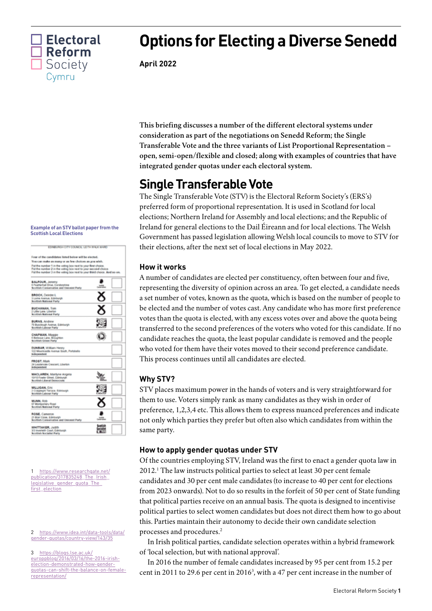

# **Options for Electing a Diverse Senedd**

**April 2022**

**This briefing discusses a number of the different electoral systems under consideration as part of the negotiations on Senedd Reform; the Single Transferable Vote and the three variants of List Proportional Representation – open, semi-open/flexible and closed; along with examples of countries that have integrated gender quotas under each electoral system.**

# **Single Transferable Vote**

The Single Transferable Vote (STV) is the Electoral Reform Society's (ERS's) preferred form of proportional representation. It is used in Scotland for local elections; Northern Ireland for Assembly and local elections; and the Republic of Ireland for general elections to the Dail Éireann and for local elections. The Welsh Government has passed legislation allowing Welsh local councils to move to STV for their elections, after the next set of local elections in May 2022.

# **How it works**

A number of candidates are elected per constituency, often between four and five, representing the diversity of opinion across an area. To get elected, a candidate needs a set number of votes, known as the quota, which is based on the number of people to be elected and the number of votes cast. Any candidate who has more first preference votes than the quota is elected, with any excess votes over and above the quota being transferred to the second preferences of the voters who voted for this candidate. If no candidate reaches the quota, the least popular candidate is removed and the people who voted for them have their votes moved to their second preference candidate. This process continues until all candidates are elected.

# **Why STV?**

STV places maximum power in the hands of voters and is very straightforward for them to use. Voters simply rank as many candidates as they wish in order of preference, 1,2,3,4 etc. This allows them to express nuanced preferences and indicate not only which parties they prefer but often also which candidates from within the same party.

# **How to apply gender quotas under STV**

Of the countries employing STV, Ireland was the first to enact a gender quota law in 2012.1 The law instructs political parties to select at least 30 per cent female candidates and 30 per cent male candidates (to increase to 40 per cent for elections from 2023 onwards). Not to do so results in the forfeit of 50 per cent of State funding that political parties receive on an annual basis. The quota is designed to incentivise political parties to select women candidates but does not direct them how to go about this. Parties maintain their autonomy to decide their own candidate selection processes and procedures.2

In Irish political parties, candidate selection operates within a hybrid framework of 'local selection, but with national approval'.

In 2016 the number of female candidates increased by 95 per cent from 15.2 per cent in 2011 to 29.6 per cent in 20163 , with a 47 per cent increase in the number of

#### **Example of an STV ballot paper from the Scottish Local Elections**

| EDIMIURGH CITY COUNCIL LETTH IRALK WARD                                                                                                                                                                                                                                                                                    |   |
|----------------------------------------------------------------------------------------------------------------------------------------------------------------------------------------------------------------------------------------------------------------------------------------------------------------------------|---|
| Four of the candidates listed below will be elected.<br>You can make as many or as few choices as you wish.<br>Put the number 1 in the voting box next to your first choice.<br>Put the number 2 in the voting box next to your second choice.<br>Put the number 3 in the voting box next to your third choice. And so on, |   |
| <b>BALFOUR, Jenemy</b><br>5 Featherhall Drive, Corstoronine<br><b>Scottish Conservative and Unionist Party</b>                                                                                                                                                                                                             |   |
| <b>BROCK, Deirdre L</b><br>3 Lome Avenue, Edinburgh.<br><b>Scottish National Porty</b>                                                                                                                                                                                                                                     | 8 |
| <b>BUCHANAN</b> , Tom<br>2 Little Lane, Liberton<br><b>Scottish National Party</b>                                                                                                                                                                                                                                         | × |
| <b>BURNS, Andrew</b><br>78 Buccleugh Avenue, Edinburgh<br><b>Scottish Labour Party</b>                                                                                                                                                                                                                                     |   |
| CHAPMAN, Maggie<br>6 Bellevue Lane, Broughton<br><b>Scottish Green Party</b>                                                                                                                                                                                                                                               |   |
| DUNBAR, William Henry<br>122 Mountcaste Avenue South, Portobello<br><b>Independent</b>                                                                                                                                                                                                                                     |   |
| FROST, Mark<br>34 Leadervale Crescent, Liberton<br><b>Independent</b>                                                                                                                                                                                                                                                      |   |
| <b>MACLAREN, Marilyne Angela</b><br>19/10 Fowler Otreet, Edinburgh<br><b>Brottish Liberal Democrats</b>                                                                                                                                                                                                                    |   |
| <b>MILLIGAN, Eric</b><br>2 Сгакрмиля Тектапи. Возгохиде-<br><b>Scottish Labour Party</b>                                                                                                                                                                                                                                   | Ş |
| <b>MUNN, RISD</b><br>67 Montgomery Road<br><b>Scottish National Party</b>                                                                                                                                                                                                                                                  |   |
| <b>ROSE</b> , Cameron<br>21 Blair Close, Edinburgh<br>Scottish Conservative and Unionist Porty                                                                                                                                                                                                                             |   |
| WHITTAKER, Judith<br>3/3 Inverteith Court, Edinburgh<br><b>Scottish Socialist Party</b>                                                                                                                                                                                                                                    |   |

1 [https://www.researchgate.net/](https://www.researchgate.net/publication/317835248_The_Irish_legislative_gender_quota_The_first_election) [publication/317835248\\_The\\_Irish\\_](https://www.researchgate.net/publication/317835248_The_Irish_legislative_gender_quota_The_first_election) legislative\_gender\_quota\_The [first\\_election](https://www.researchgate.net/publication/317835248_The_Irish_legislative_gender_quota_The_first_election)

### 2 [https://www.idea.int/data-tools/data/](https://www.idea.int/data-tools/data/gender-quotas/country-view/143/35) [gender-quotas/country-view/143/35](https://www.idea.int/data-tools/data/gender-quotas/country-view/143/35)

3 [https://blogs.lse.ac.uk/](https://blogs.lse.ac.uk/europpblog/2016/03/16/the-2016-irish-election-demonstrated-how-gender-quotas-can-shift-the-balance-on-female-representation/) [europpblog/2016/03/16/the-2016-irish](https://blogs.lse.ac.uk/europpblog/2016/03/16/the-2016-irish-election-demonstrated-how-gender-quotas-can-shift-the-balance-on-female-representation/)[election-demonstrated-how-gender](https://blogs.lse.ac.uk/europpblog/2016/03/16/the-2016-irish-election-demonstrated-how-gender-quotas-can-shift-the-balance-on-female-representation/)[quotas-can-shift-the-balance-on-female](https://blogs.lse.ac.uk/europpblog/2016/03/16/the-2016-irish-election-demonstrated-how-gender-quotas-can-shift-the-balance-on-female-representation/)[representation/](https://blogs.lse.ac.uk/europpblog/2016/03/16/the-2016-irish-election-demonstrated-how-gender-quotas-can-shift-the-balance-on-female-representation/)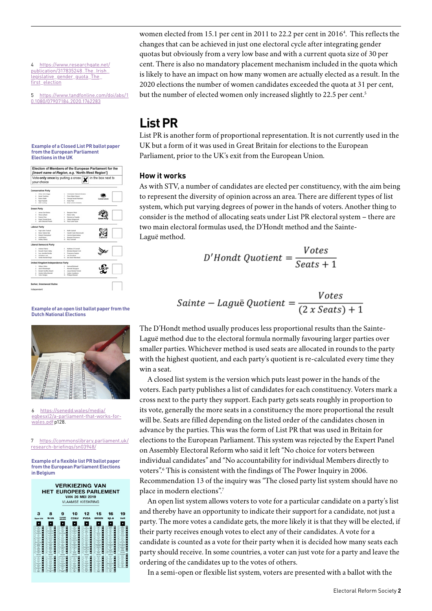<span id="page-1-0"></span>4 [https://www.researchgate.net/](https://www.researchgate.net/publication/317835248_The_Irish_legislative_gender_quota_The_first_election) publication/317835248\_The\_Irish legislative\_gender\_quota\_The [first\\_election](https://www.researchgate.net/publication/317835248_The_Irish_legislative_gender_quota_The_first_election)

5 [https://www.tandfonline.com/doi/abs/1](https://www.tandfonline.com/doi/abs/10.1080/07907184.2020.1762283) [0.1080/07907184.2020.1762283](https://www.tandfonline.com/doi/abs/10.1080/07907184.2020.1762283)

#### **Example of a Closed List PR ballot paper from the European Parliament Elections in the UK**



women elected from 15.1 per cent in 2011 to 22.2 per cent in 2016<sup>[4](#page-1-0)</sup>. This reflects the changes that can be achieved in just one electoral cycle after integrating gender quotas but obviously from a very low base and with a current quota size of 30 per cent. There is also no mandatory placement mechanism included in the quota which is likely to have an impact on how many women are actually elected as a result. In the 2020 elections the number of women candidates exceeded the quota at 31 per cent, but the number of elected women only increased slightly to 22[.5](#page-1-1) per cent.<sup>5</sup>

# <span id="page-1-1"></span>**List PR**

List PR is another form of proportional representation. It is not currently used in the UK but a form of it was used in Great Britain for elections to the European Parliament, prior to the UK's exit from the European Union.

# **How it works**

As with STV, a number of candidates are elected per constituency, with the aim being to represent the diversity of opinion across an area. There are different types of list system, which put varying degrees of power in the hands of voters. Another thing to consider is the method of allocating seats under List PR electoral system – there are two main electoral formulas used, the D'Hondt method and the Sainte-Laguë method.

$$
D'Hondt\ Quotient = \frac{Votes}{Seats + 1}
$$

$$
Sainte-Laguë Quotient = \frac{Votes}{(2 x \, Seats) + 1}
$$

The D'Hondt method usually produces less proportional results than the Sainte-Laguë method due to the electoral formula normally favouring larger parties over smaller parties. Whichever method is used seats are allocated in rounds to the party with the highest quotient, and each party's quotient is re-calculated every time they win a seat.

A closed list system is the version which puts least power in the hands of the voters. Each party publishes a list of candidates for each constituency. Voters mark a cross next to the party they support. Each party gets seats roughly in proportion to its vote, generally the more seats in a constituency the more proportional the result will be. Seats are filled depending on the listed order of the candidates chosen in advance by the parties. This was the form of List PR that was used in Britain for elections to the European Parliament. This system was rejected by the Expert Panel on Assembly Electoral Reform who said it left "No choice for voters between individual candidates" and "No accountability for individual Members directly to voters".<sup>[6](#page-1-2)</sup> This is consistent with the findings of The Power Inquiry in 2006. Recommendation 13 of the inquiry was "The closed party list system should have no place in modern elections".[7](#page-1-3)

An open list system allows voters to vote for a particular candidate on a party's list and thereby have an opportunity to indicate their support for a candidate, not just a party. The more votes a candidate gets, the more likely it is that they will be elected, if their party receives enough votes to elect any of their candidates. A vote for a candidate is counted as a vote for their party when it is decided how many seats each party should receive. In some countries, a voter can just vote for a party and leave the ordering of the candidates up to the votes of others.

In a semi-open or flexible list system, voters are presented with a ballot with the

**Example of an open list ballot paper from the Dutch National Elections**



<span id="page-1-2"></span>6 [https://senedd.wales/media/](https://senedd.wales/media/eqbesxl2/a-parliament-that-works-for-wales.pdf) [eqbesxl2/a-parliament-that-works-for](https://senedd.wales/media/eqbesxl2/a-parliament-that-works-for-wales.pdf)[wales.pdf](https://senedd.wales/media/eqbesxl2/a-parliament-that-works-for-wales.pdf) p128.

<span id="page-1-3"></span>7 [https://commonslibrary.parliament.uk/](https://commonslibrary.parliament.uk/research-briefings/sn03948/) [research-briefings/sn03948/](https://commonslibrary.parliament.uk/research-briefings/sn03948/)

**Example of a flexible list PR ballot paper from the European Parliament Elections in Belgium**

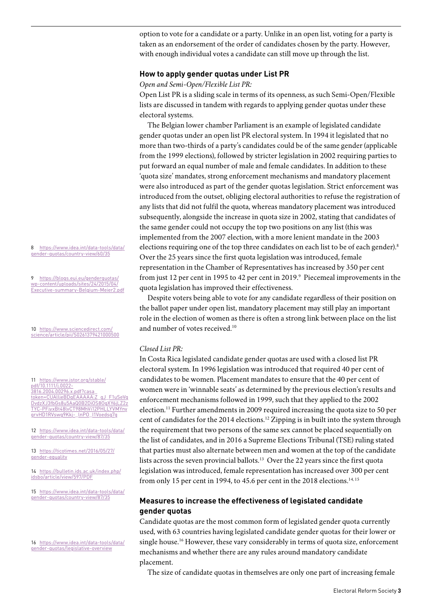option to vote for a candidate or a party. Unlike in an open list, voting for a party is taken as an endorsement of the order of candidates chosen by the party. However, with enough individual votes a candidate can still move up through the list.

## **How to apply gender quotas under List PR**

### *Open and Semi-Open/Flexible List PR:*

Open List PR is a sliding scale in terms of its openness, as such Semi-Open/Flexible lists are discussed in tandem with regards to applying gender quotas under these electoral systems.

The Belgian lower chamber Parliament is an example of legislated candidate gender quotas under an open list PR electoral system. In 1994 it legislated that no more than two-thirds of a party's candidates could be of the same gender (applicable from the 1999 elections), followed by stricter legislation in 2002 requiring parties to put forward an equal number of male and female candidates. In addition to these 'quota size' mandates, strong enforcement mechanisms and mandatory placement were also introduced as part of the gender quotas legislation. Strict enforcement was introduced from the outset, obliging electoral authorities to refuse the registration of any lists that did not fulfil the quota, whereas mandatory placement was introduced subsequently, alongside the increase in quota size in 2002, stating that candidates of the same gender could not occupy the top two positions on any list (this was implemented from the 2007 election, with a more lenient mandate in the 2003 elections requiring one of the top three candidates on each list to be of each gender).<sup>[8](#page-2-0)</sup> Over the 25 years since the first quota legislation was introduced, female representation in the Chamber of Representatives has increased by 350 per cent from just 12 per cent in 1995 to 42 per cent in 2019. $9$  Piecemeal improvements in the quota legislation has improved their effectiveness.

<span id="page-2-1"></span>Despite voters being able to vote for any candidate regardless of their position on the ballot paper under open list, mandatory placement may still play an important role in the election of women as there is often a strong link between place on the list and number of votes received.[10](#page-2-2)

## *Closed List PR:*

In Costa Rica legislated candidate gender quotas are used with a closed list PR electoral system. In 1996 legislation was introduced that required 40 per cent of candidates to be women. Placement mandates to ensure that the 40 per cent of women were in 'winnable seats' as determined by the previous election's results and enforcement mechanisms followed in 1999, such that they applied to the 2002 election.[11](#page-2-3) Further amendments in 2009 required increasing the quota size to 50 per cent of candidates for the 2014 elections[.12](#page-2-4) Zipping is in built into the system through the requirement that two persons of the same sex cannot be placed sequentially on the list of candidates, and in 2016 a Supreme Elections Tribunal (TSE) ruling stated that parties must also alternate between men and women at the top of the candidate lists across the seven provincial ballots.<sup>13</sup> Over the 22 years since the first quota legislation was introduced, female representation has increased over 300 per cent from only [15](#page-2-7) per cent in 1994, to 45.6 per cent in the 2018 elections.<sup>14, 15</sup>

# <span id="page-2-4"></span>**Measures to increase the effectiveness of legislated candidate gender quotas**

Candidate quotas are the most common form of legislated gender quota currently used, with 63 countries having legislated candidate gender quotas for their lower or single house.[16](#page-2-8) However, these vary considerably in terms of quota size, enforcement mechanisms and whether there are any rules around mandatory candidate placement.

The size of candidate quotas in themselves are only one part of increasing female

<span id="page-2-0"></span>8 [https://www.idea.int/data-tools/data/](https://www.idea.int/data-tools/data/gender-quotas/country-view/60/35) [gender-quotas/country-view/60/35](https://www.idea.int/data-tools/data/gender-quotas/country-view/60/35)

9 [https://blogs.eui.eu/genderquotas/](https://blogs.eui.eu/genderquotas/wp-content/uploads/sites/24/2015/04/Executive-summary-Belgium-Meier2.pdf) [wp-content/uploads/sites/24/2015/04/](https://blogs.eui.eu/genderquotas/wp-content/uploads/sites/24/2015/04/Executive-summary-Belgium-Meier2.pdf) [Executive-summary-Belgium-Meier2.pdf](https://blogs.eui.eu/genderquotas/wp-content/uploads/sites/24/2015/04/Executive-summary-Belgium-Meier2.pdf)

<span id="page-2-2"></span>10 [https://www.sciencedirect.com/](https://www.sciencedirect.com/science/article/pii/S0261379421000500) [science/article/pii/S0261379421000500](https://www.sciencedirect.com/science/article/pii/S0261379421000500)

<span id="page-2-3"></span>11 [https://www.jstor.org/stable/](https://www.jstor.org/stable/pdf/10.1111/j.0022-3816.2004.00296.x.pdf?casa_token=CUAlljeBDqEAAAAA:Z_qJ_F1uSeVgDvdzXJ3fbGs8u5AaQ0B2DiOS8OgXY6jLZ2zTYC-PFjyxBt48lvCT98MhVi12PHLLYVMYnygrvHD1RVswg9Kkj-_lnPO_I1Voedsg7g) [pdf/10.1111/j.0022-](https://www.jstor.org/stable/pdf/10.1111/j.0022-3816.2004.00296.x.pdf?casa_token=CUAlljeBDqEAAAAA:Z_qJ_F1uSeVgDvdzXJ3fbGs8u5AaQ0B2DiOS8OgXY6jLZ2zTYC-PFjyxBt48lvCT98MhVi12PHLLYVMYnygrvHD1RVswg9Kkj-_lnPO_I1Voedsg7g) [3816.2004.00296.x.pdf?casa\\_](https://www.jstor.org/stable/pdf/10.1111/j.0022-3816.2004.00296.x.pdf?casa_token=CUAlljeBDqEAAAAA:Z_qJ_F1uSeVgDvdzXJ3fbGs8u5AaQ0B2DiOS8OgXY6jLZ2zTYC-PFjyxBt48lvCT98MhVi12PHLLYVMYnygrvHD1RVswg9Kkj-_lnPO_I1Voedsg7g) [token=CUAlljeBDqEAAAAA:Z\\_qJ\\_F1uSeVg](https://www.jstor.org/stable/pdf/10.1111/j.0022-3816.2004.00296.x.pdf?casa_token=CUAlljeBDqEAAAAA:Z_qJ_F1uSeVgDvdzXJ3fbGs8u5AaQ0B2DiOS8OgXY6jLZ2zTYC-PFjyxBt48lvCT98MhVi12PHLLYVMYnygrvHD1RVswg9Kkj-_lnPO_I1Voedsg7g) [DvdzXJ3fbGs8u5AaQ0B2DiOS8OgXY6jLZ2z](https://www.jstor.org/stable/pdf/10.1111/j.0022-3816.2004.00296.x.pdf?casa_token=CUAlljeBDqEAAAAA:Z_qJ_F1uSeVgDvdzXJ3fbGs8u5AaQ0B2DiOS8OgXY6jLZ2zTYC-PFjyxBt48lvCT98MhVi12PHLLYVMYnygrvHD1RVswg9Kkj-_lnPO_I1Voedsg7g) [TYC-PFjyxBt48lvCT98MhVi12PHLLYVMYny](https://www.jstor.org/stable/pdf/10.1111/j.0022-3816.2004.00296.x.pdf?casa_token=CUAlljeBDqEAAAAA:Z_qJ_F1uSeVgDvdzXJ3fbGs8u5AaQ0B2DiOS8OgXY6jLZ2zTYC-PFjyxBt48lvCT98MhVi12PHLLYVMYnygrvHD1RVswg9Kkj-_lnPO_I1Voedsg7g) [grvHD1RVswg9Kkj-\\_lnPO\\_I1Voedsg7g](https://www.jstor.org/stable/pdf/10.1111/j.0022-3816.2004.00296.x.pdf?casa_token=CUAlljeBDqEAAAAA:Z_qJ_F1uSeVgDvdzXJ3fbGs8u5AaQ0B2DiOS8OgXY6jLZ2zTYC-PFjyxBt48lvCT98MhVi12PHLLYVMYnygrvHD1RVswg9Kkj-_lnPO_I1Voedsg7g)

12 [https://www.idea.int/data-tools/data/](https://www.idea.int/data-tools/data/gender-quotas/country-view/87/35) [gender-quotas/country-view/87/35](https://www.idea.int/data-tools/data/gender-quotas/country-view/87/35)

<span id="page-2-5"></span>13 [https://ticotimes.net/2016/05/27/](https://ticotimes.net/2016/05/27/gender-equality) [gender-equality](https://ticotimes.net/2016/05/27/gender-equality)

<span id="page-2-6"></span>14 [https://bulletin.ids.ac.uk/index.php/](https://bulletin.ids.ac.uk/index.php/idsbo/article/view/597/PDF) [idsbo/article/view/597/PDF](https://bulletin.ids.ac.uk/index.php/idsbo/article/view/597/PDF)

<span id="page-2-7"></span>15 [https://www.idea.int/data-tools/data/](https://www.idea.int/data-tools/data/gender-quotas/country-view/87/35) [gender-quotas/country-view/87/35](https://www.idea.int/data-tools/data/gender-quotas/country-view/87/35)

<span id="page-2-8"></span>16 [https://www.idea.int/data-tools/data/](https://www.idea.int/data-tools/data/gender-quotas/legislative-overview) [gender-quotas/legislative-overview](https://www.idea.int/data-tools/data/gender-quotas/legislative-overview)